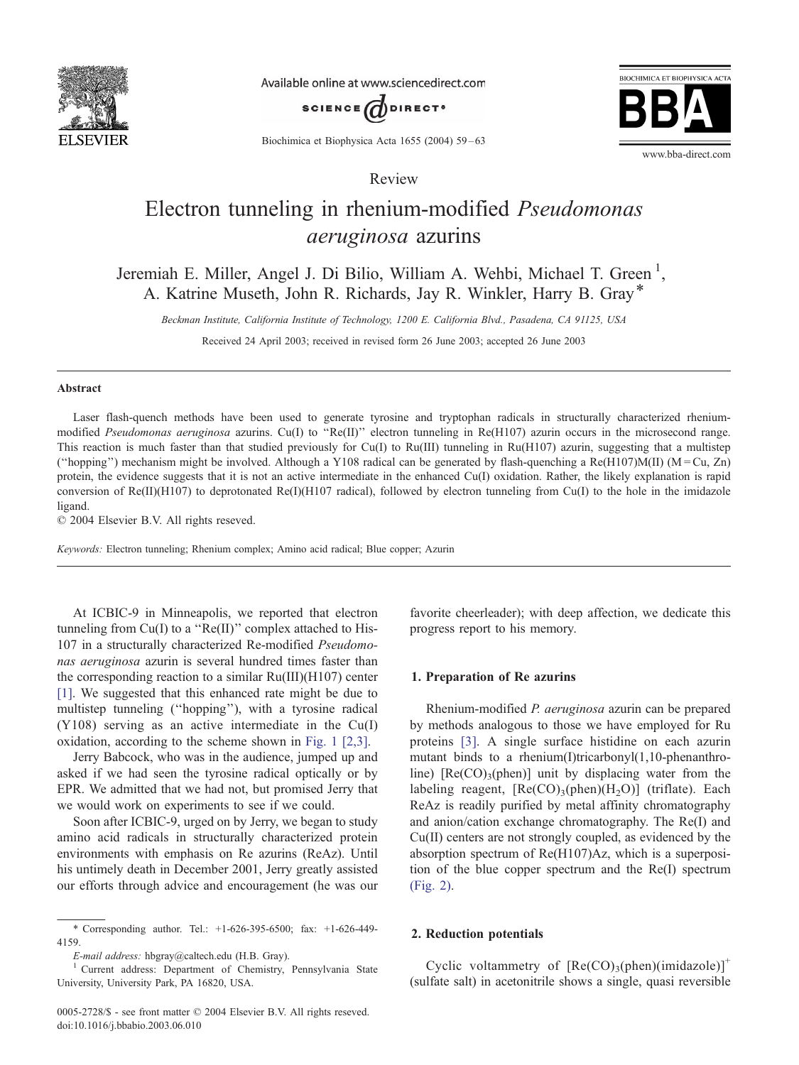

Available online at www.sciencedirect.com





Biochimica et Biophysica Acta 1655 (2004) 59 – 63

Review

# Electron tunneling in rhenium-modified Pseudomonas aeruginosa azurins

Jeremiah E. Miller, Angel J. Di Bilio, William A. Wehbi, Michael T. Green<sup>1</sup>, A. Katrine Museth, John R. Richards, Jay R. Winkler, Harry B. Gray\*

Beckman Institute, California Institute of Technology, 1200 E. California Blvd., Pasadena, CA 91125, USA

Received 24 April 2003; received in revised form 26 June 2003; accepted 26 June 2003

#### Abstract

Laser flash-quench methods have been used to generate tyrosine and tryptophan radicals in structurally characterized rheniummodified *Pseudomonas aeruginosa* azurins. Cu(I) to "Re(II)" electron tunneling in Re(H107) azurin occurs in the microsecond range. This reaction is much faster than that studied previously for Cu(I) to Ru(III) tunneling in Ru(H107) azurin, suggesting that a multistep ("hopping") mechanism might be involved. Although a Y108 radical can be generated by flash-quenching a  $Re(H107)M(II)$  (M = Cu, Zn) protein, the evidence suggests that it is not an active intermediate in the enhanced Cu(I) oxidation. Rather, the likely explanation is rapid conversion of  $Re(II)(H107)$  to deprotonated  $Re(I)(H107)$  radical), followed by electron tunneling from Cu(I) to the hole in the imidazole ligand.

 $© 2004 Elsevier B.V. All rights reserved.$ 

Keywords: Electron tunneling; Rhenium complex; Amino acid radical; Blue copper; Azurin

At ICBIC-9 in Minneapolis, we reported that electron tunneling from  $Cu(I)$  to a " $Re(II)$ " complex attached to His-107 in a structurally characterized Re-modified Pseudomonas aeruginosa azurin is several hundred times faster than the corresponding reaction to a similar Ru(III)(H107) center [\[1\].](#page-3-0) We suggested that this enhanced rate might be due to multistep tunneling (''hopping''), with a tyrosine radical (Y108) serving as an active intermediate in the Cu(I) oxidation, according to the scheme shown in [Fig. 1](#page-1-0) [\[2,3\].](#page-3-0)

Jerry Babcock, who was in the audience, jumped up and asked if we had seen the tyrosine radical optically or by EPR. We admitted that we had not, but promised Jerry that we would work on experiments to see if we could.

Soon after ICBIC-9, urged on by Jerry, we began to study amino acid radicals in structurally characterized protein environments with emphasis on Re azurins (ReAz). Until his untimely death in December 2001, Jerry greatly assisted our efforts through advice and encouragement (he was our favorite cheerleader); with deep affection, we dedicate this progress report to his memory.

#### 1. Preparation of Re azurins

Rhenium-modified P. aeruginosa azurin can be prepared by methods analogous to those we have employed for Ru proteins [\[3\].](#page-3-0) A single surface histidine on each azurin mutant binds to a rhenium(I)tricarbonyl(1,10-phenanthroline)  $[Re(CO)<sub>3</sub>(phen)]$  unit by displacing water from the labeling reagent,  $[Re(CO)_{3}(phen)(H_{2}O)]$  (triflate). Each ReAz is readily purified by metal affinity chromatography and anion/cation exchange chromatography. The Re(I) and Cu(II) centers are not strongly coupled, as evidenced by the absorption spectrum of Re(H107)Az, which is a superposition of the blue copper spectrum and the Re(I) spectrum [\(Fig. 2\).](#page-2-0)

## 2. Reduction potentials

Cyclic voltammetry of  $[Re(CO)_3(phen)(imidazole)]^+$ (sulfate salt) in acetonitrile shows a single, quasi reversible

<sup>\*</sup> Corresponding author. Tel.: +1-626-395-6500; fax: +1-626-449- 4159.

E-mail address: hbgray@caltech.edu (H.B. Gray). <sup>1</sup> Current address: Department of Chemistry, Pennsylvania State University, University Park, PA 16820, USA.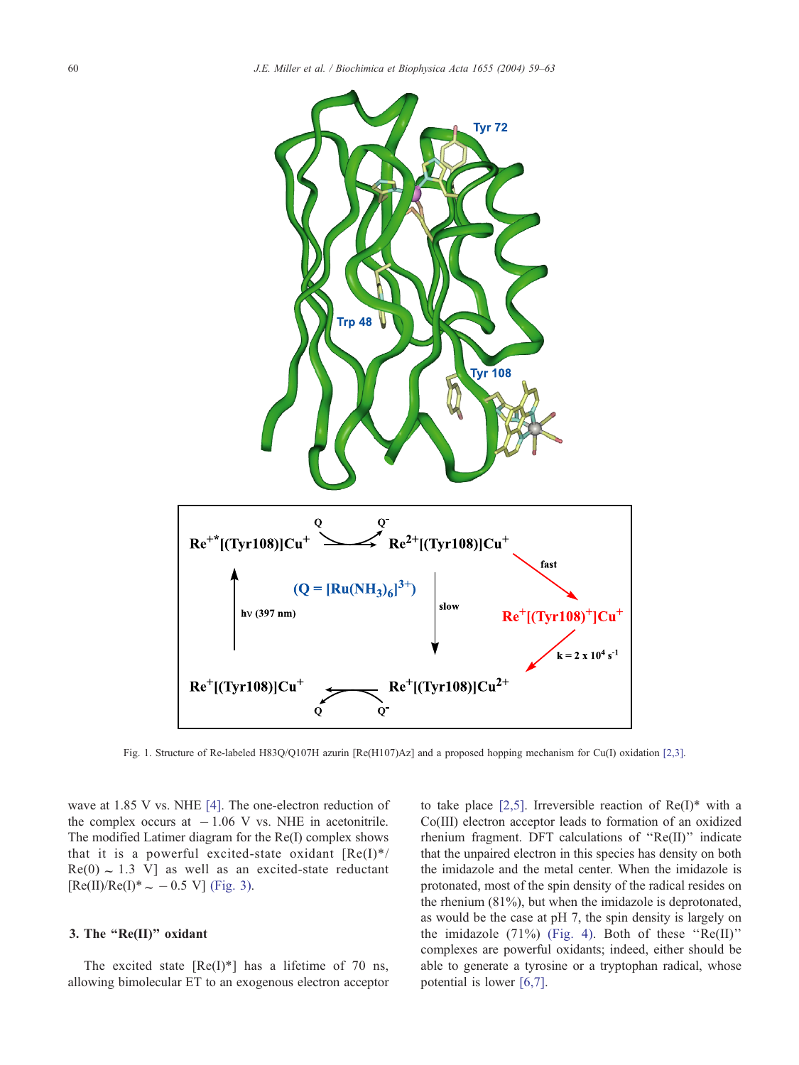<span id="page-1-0"></span>

Fig. 1. Structure of Re-labeled H83O/O107H azurin [Re(H107)Az] and a proposed hopping mechanism for Cu(I) oxidation [\[2,3\].](#page-3-0)

wave at 1.85 V vs. NHE [\[4\].](#page-3-0) The one-electron reduction of the complex occurs at  $-1.06$  V vs. NHE in acetonitrile. The modified Latimer diagram for the Re(I) complex shows that it is a powerful excited-state oxidant  $[Re(I)^*/]$  $Re(0) \sim 1.3$  V] as well as an excited-state reductant  $[Re(II)/Re(I)^* \sim -0.5 \text{ V}]$  [\(Fig. 3\).](#page-2-0)

## 3. The ''Re(II)'' oxidant

The excited state  $[Re(I)^*]$  has a lifetime of 70 ns, allowing bimolecular ET to an exogenous electron acceptor to take place [\[2,5\].](#page-3-0) Irreversible reaction of  $Re(I)^*$  with a Co(III) electron acceptor leads to formation of an oxidized rhenium fragment. DFT calculations of ''Re(II)'' indicate that the unpaired electron in this species has density on both the imidazole and the metal center. When the imidazole is protonated, most of the spin density of the radical resides on the rhenium (81%), but when the imidazole is deprotonated, as would be the case at pH 7, the spin density is largely on the imidazole  $(71\%)$  [\(Fig. 4\).](#page-3-0) Both of these "Re(II)" complexes are powerful oxidants; indeed, either should be able to generate a tyrosine or a tryptophan radical, whose potential is lower [\[6,7\].](#page-3-0)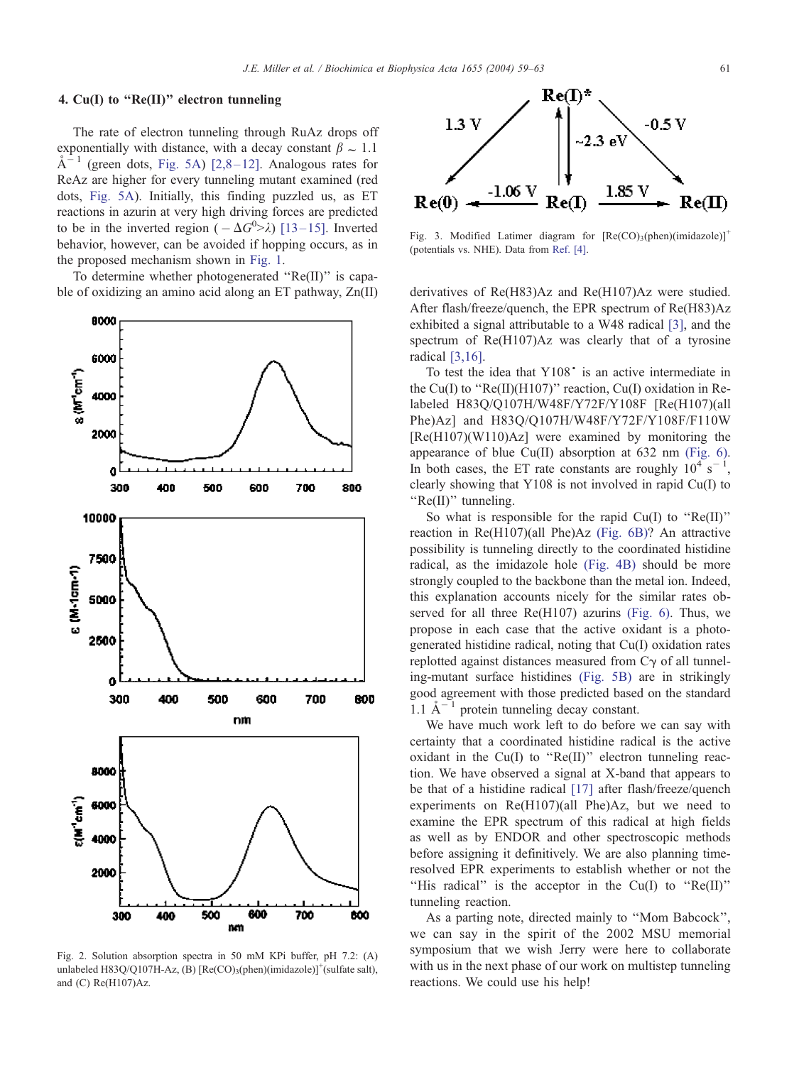## <span id="page-2-0"></span>4. Cu(I) to "Re(II)" electron tunneling

The rate of electron tunneling through RuAz drops off exponentially with distance, with a decay constant  $\beta \sim 1.1$  $A^{-1}$  (green dots, [Fig. 5A\)](#page-3-0) [2,8-12]. Analogous rates for ReAz are higher for every tunneling mutant examined (red dots, [Fig. 5A\)](#page-3-0). Initially, this finding puzzled us, as ET reactions in azurin at very high driving forces are predicted to be in the inverted region  $(-\Delta G^0 > \lambda)$  [13–15]. Inverted behavior, however, can be avoided if hopping occurs, as in the proposed mechanism shown in [Fig. 1.](#page-1-0)

To determine whether photogenerated ''Re(II)'' is capable of oxidizing an amino acid along an ET pathway, Zn(II) derivatives of Re(H83)Az and Re(H107)Az were studied.



Fig. 2. Solution absorption spectra in 50 mM KPi buffer, pH 7.2: (A) unlabeled H83Q/Q107H-Az, (B)  $[Re(CO)_3(phen)(imidazole)]^+(sulfate salt)$ , and (C) Re(H107)Az.



Fig. 3. Modified Latimer diagram for  $[Re(CO)3(phen)(imidazole)]^+$ (potentials vs. NHE). Data from [Ref. \[4\].](#page-3-0)

After flash/freeze/quench, the EPR spectrum of Re(H83)Az exhibited a signal attributable to a W48 radical [\[3\],](#page-3-0) and the spectrum of Re(H107)Az was clearly that of a tyrosine radical [\[3,16\].](#page-3-0)

To test the idea that  $Y108$ <sup>\*</sup> is an active intermediate in the Cu(I) to " $Re(II)(H107)$ " reaction, Cu(I) oxidation in Relabeled H83Q/Q107H/W48F/Y72F/Y108F [Re(H107)(all Phe)Az] and H83Q/Q107H/W48F/Y72F/Y108F/F110W [Re(H107)(W110)Az] were examined by monitoring the appearance of blue Cu(II) absorption at 632 nm [\(Fig. 6\).](#page-4-0) In both cases, the ET rate constants are roughly  $10^4$  s<sup>-1</sup>, clearly showing that Y108 is not involved in rapid Cu(I) to "Re(II)" tunneling.

So what is responsible for the rapid  $Cu(I)$  to " $Re(II)$ " reaction in Re(H107)(all Phe)Az [\(Fig. 6B\)?](#page-4-0) An attractive possibility is tunneling directly to the coordinated histidine radical, as the imidazole hole [\(Fig. 4B\)](#page-3-0) should be more strongly coupled to the backbone than the metal ion. Indeed, this explanation accounts nicely for the similar rates observed for all three Re(H107) azurins [\(Fig. 6\).](#page-4-0) Thus, we propose in each case that the active oxidant is a photogenerated histidine radical, noting that Cu(I) oxidation rates replotted against distances measured from  $C_{\gamma}$  of all tunneling-mutant surface histidines [\(Fig. 5B\)](#page-3-0) are in strikingly good agreement with those predicted based on the standard 1.1  $\mathring{A}^{-1}$  protein tunneling decay constant.

We have much work left to do before we can say with certainty that a coordinated histidine radical is the active oxidant in the  $Cu(I)$  to " $Re(II)$ " electron tunneling reaction. We have observed a signal at X-band that appears to be that of a histidine radical [\[17\]](#page-4-0) after flash/freeze/quench experiments on Re(H107)(all Phe)Az, but we need to examine the EPR spectrum of this radical at high fields as well as by ENDOR and other spectroscopic methods before assigning it definitively. We are also planning timeresolved EPR experiments to establish whether or not the ''His radical'' is the acceptor in the Cu(I) to ''Re(II)'' tunneling reaction.

As a parting note, directed mainly to ''Mom Babcock'', we can say in the spirit of the 2002 MSU memorial symposium that we wish Jerry were here to collaborate with us in the next phase of our work on multistep tunneling reactions. We could use his help!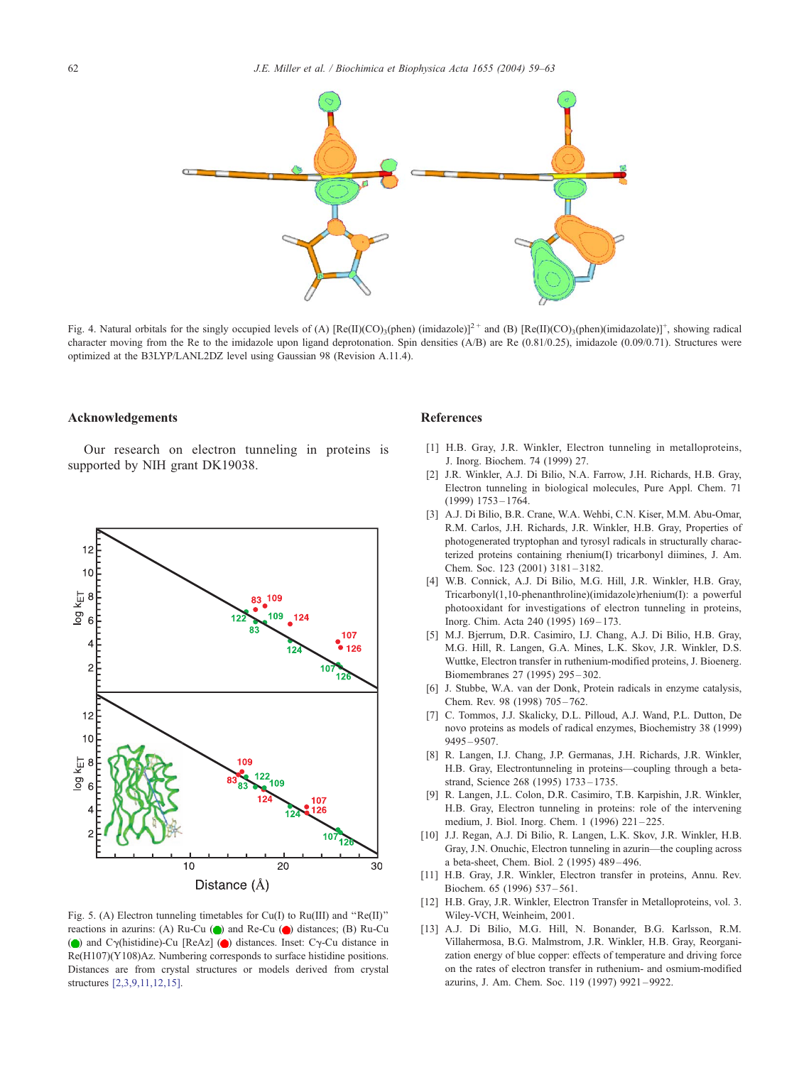<span id="page-3-0"></span>

Fig. 4. Natural orbitals for the singly occupied levels of (A)  $[Re(II)(CO)_3(phen) (imidazole)]^2$ <sup>+</sup> and (B)  $[Re(II)(CO)_3(phen) (imidazolate)]^+$ , showing radical character moving from the Re to the imidazole upon ligand deprotonation. Spin densities (A/B) are Re (0.81/0.25), imidazole (0.09/0.71). Structures were optimized at the B3LYP/LANL2DZ level using Gaussian 98 (Revision A.11.4).

#### Acknowledgements

Our research on electron tunneling in proteins is supported by NIH grant DK19038.



Fig. 5. (A) Electron tunneling timetables for Cu(I) to Ru(III) and ''Re(II)'' reactions in azurins: (A) Ru-Cu  $\left(\bigcirc\right)$  and Re-Cu  $\left(\bigcirc\right)$  distances; (B) Ru-Cu ( $\odot$ ) and C $\gamma$ (histidine)-Cu [ReAz] ( $\odot$ ) distances. Inset: C $\gamma$ -Cu distance in Re(H107)(Y108)Az. Numbering corresponds to surface histidine positions. Distances are from crystal structures or models derived from crystal structures [2,3,9,11,12,15].

#### References

- [1] H.B. Gray, J.R. Winkler, Electron tunneling in metalloproteins, J. Inorg. Biochem. 74 (1999) 27.
- [2] J.R. Winkler, A.J. Di Bilio, N.A. Farrow, J.H. Richards, H.B. Gray, Electron tunneling in biological molecules, Pure Appl. Chem. 71 (1999) 1753 – 1764.
- [3] A.J. Di Bilio, B.R. Crane, W.A. Wehbi, C.N. Kiser, M.M. Abu-Omar, R.M. Carlos, J.H. Richards, J.R. Winkler, H.B. Gray, Properties of photogenerated tryptophan and tyrosyl radicals in structurally characterized proteins containing rhenium(I) tricarbonyl diimines, J. Am. Chem. Soc. 123 (2001) 3181 – 3182.
- [4] W.B. Connick, A.J. Di Bilio, M.G. Hill, J.R. Winkler, H.B. Gray, Tricarbonyl(1,10-phenanthroline)(imidazole)rhenium(I): a powerful photooxidant for investigations of electron tunneling in proteins, Inorg. Chim. Acta 240 (1995) 169-173.
- [5] M.J. Bjerrum, D.R. Casimiro, I.J. Chang, A.J. Di Bilio, H.B. Gray, M.G. Hill, R. Langen, G.A. Mines, L.K. Skov, J.R. Winkler, D.S. Wuttke, Electron transfer in ruthenium-modified proteins, J. Bioenerg. Biomembranes 27 (1995) 295 – 302.
- [6] J. Stubbe, W.A. van der Donk, Protein radicals in enzyme catalysis, Chem. Rev. 98 (1998) 705 – 762.
- [7] C. Tommos, J.J. Skalicky, D.L. Pilloud, A.J. Wand, P.L. Dutton, De novo proteins as models of radical enzymes, Biochemistry 38 (1999) 9495 – 9507.
- [8] R. Langen, I.J. Chang, J.P. Germanas, J.H. Richards, J.R. Winkler, H.B. Gray, Electrontunneling in proteins—coupling through a betastrand, Science 268 (1995) 1733 – 1735.
- [9] R. Langen, J.L. Colon, D.R. Casimiro, T.B. Karpishin, J.R. Winkler, H.B. Gray, Electron tunneling in proteins: role of the intervening medium, J. Biol. Inorg. Chem. 1 (1996) 221 – 225.
- [10] J.J. Regan, A.J. Di Bilio, R. Langen, L.K. Skov, J.R. Winkler, H.B. Gray, J.N. Onuchic, Electron tunneling in azurin—the coupling across a beta-sheet, Chem. Biol. 2 (1995) 489 – 496.
- [11] H.B. Gray, J.R. Winkler, Electron transfer in proteins, Annu. Rev. Biochem. 65 (1996) 537 – 561.
- [12] H.B. Gray, J.R. Winkler, Electron Transfer in Metalloproteins, vol. 3. Wiley-VCH, Weinheim, 2001.
- [13] A.J. Di Bilio, M.G. Hill, N. Bonander, B.G. Karlsson, R.M. Villahermosa, B.G. Malmstrom, J.R. Winkler, H.B. Gray, Reorganization energy of blue copper: effects of temperature and driving force on the rates of electron transfer in ruthenium- and osmium-modified azurins, J. Am. Chem. Soc. 119 (1997) 9921 – 9922.